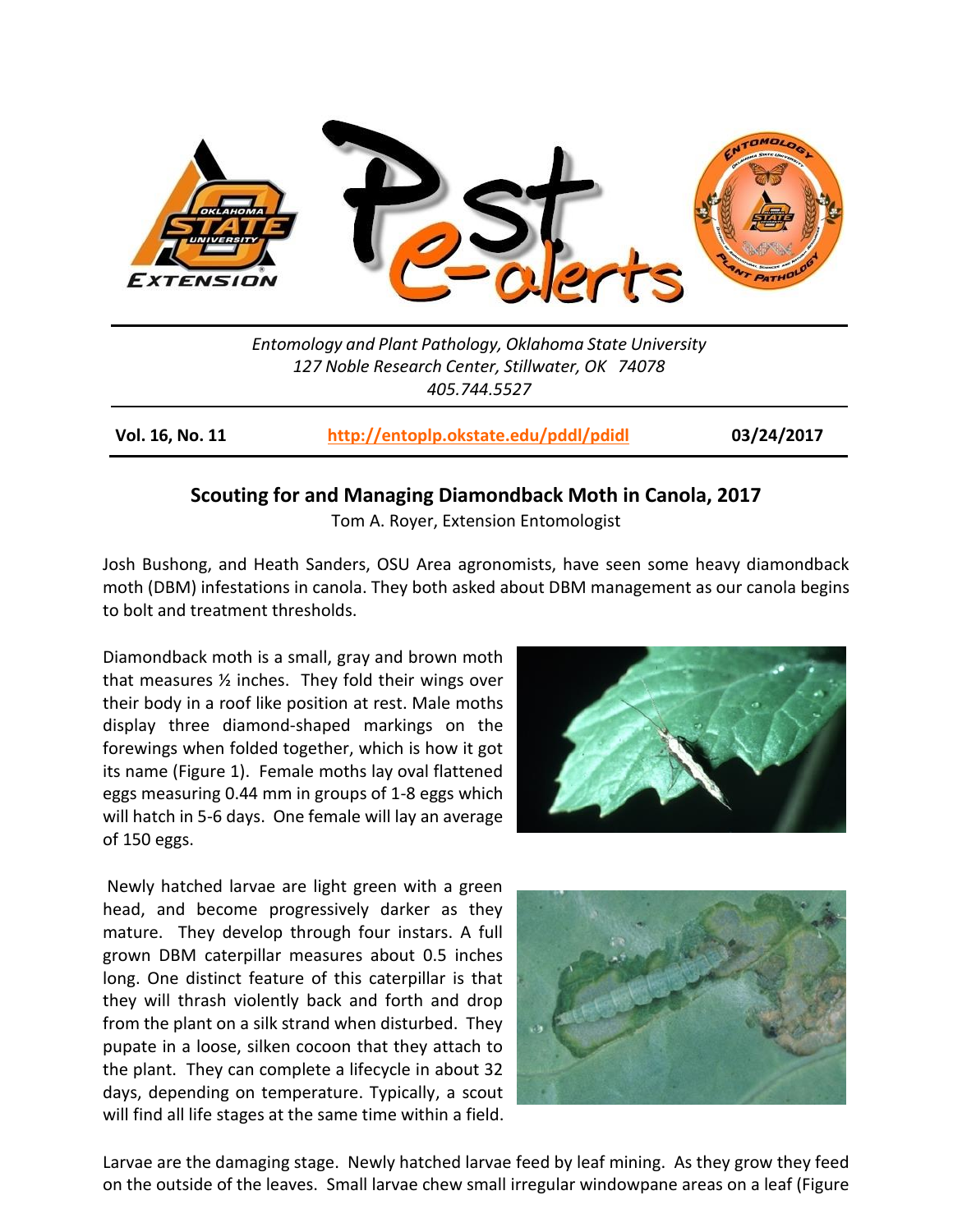

*Entomology and Plant Pathology, Oklahoma State University 127 Noble Research Center, Stillwater, OK 74078 405.744.5527*

**Vol. 16, No. 11 <http://entoplp.okstate.edu/pddl/pdidl> 03/24/2017**

## **Scouting for and Managing Diamondback Moth in Canola, 2017**

Tom A. Royer, Extension Entomologist

Josh Bushong, and Heath Sanders, OSU Area agronomists, have seen some heavy diamondback moth (DBM) infestations in canola. They both asked about DBM management as our canola begins to bolt and treatment thresholds.

Diamondback moth is a small, gray and brown moth that measures ½ inches. They fold their wings over their body in a roof like position at rest. Male moths display three diamond-shaped markings on the forewings when folded together, which is how it got its name (Figure 1). Female moths lay oval flattened eggs measuring 0.44 mm in groups of 1-8 eggs which will hatch in 5-6 days. One female will lay an average of 150 eggs.

Newly hatched larvae are light green with a green head, and become progressively darker as they mature. They develop through four instars. A full grown DBM caterpillar measures about 0.5 inches long. One distinct feature of this caterpillar is that they will thrash violently back and forth and drop from the plant on a silk strand when disturbed. They pupate in a loose, silken cocoon that they attach to the plant. They can complete a lifecycle in about 32 days, depending on temperature. Typically, a scout will find all life stages at the same time within a field.





Larvae are the damaging stage. Newly hatched larvae feed by leaf mining. As they grow they feed on the outside of the leaves. Small larvae chew small irregular windowpane areas on a leaf (Figure